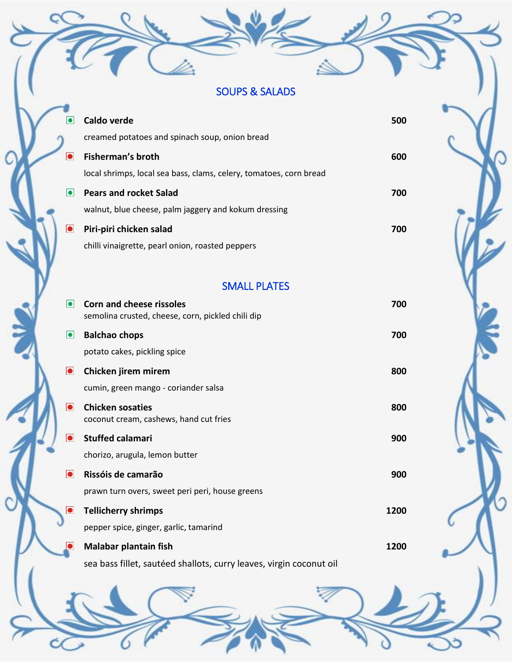## SOUPS & SALADS

*Voyager Trails*  $\overline{\phantom{a}}$ 

| $\bullet$   | Caldo verde                                                                          | 500 |
|-------------|--------------------------------------------------------------------------------------|-----|
|             | creamed potatoes and spinach soup, onion bread                                       |     |
| $\bullet$   | Fisherman's broth                                                                    | 600 |
|             | local shrimps, local sea bass, clams, celery, tomatoes, corn bread                   |     |
| $\bullet$   | <b>Pears and rocket Salad</b>                                                        | 700 |
|             | walnut, blue cheese, palm jaggery and kokum dressing                                 |     |
| $ \bullet $ | Piri-piri chicken salad                                                              | 700 |
|             | chilli vinaigrette, pearl onion, roasted peppers                                     |     |
|             |                                                                                      |     |
|             | <b>SMALL PLATES</b>                                                                  |     |
| $\bullet$   | <b>Corn and cheese rissoles</b><br>semolina crusted, cheese, corn, pickled chili dip | 700 |
| $\bullet$   | <b>Balchao chops</b>                                                                 | 700 |

potato cakes, pickling spice

- **Chicken jirem mirem 800** cumin, green mango - coriander salsa
- $\bullet$ **Chicken sosaties 800** coconut cream, cashews, hand cut fries
- $\bullet$ **Stuffed calamari 900** chorizo, arugula, lemon butter
- **Rissóis de camarão 900** prawn turn overs, sweet peri peri, house greens
- $\bullet$ **Tellicherry shrimps 1200** pepper spice, ginger, garlic, tamarind
	- **Malabar plantain fish 1200** sea bass fillet, sautéed shallots, curry leaves, virgin coconut oil

**Please let your server know in case of any allergies**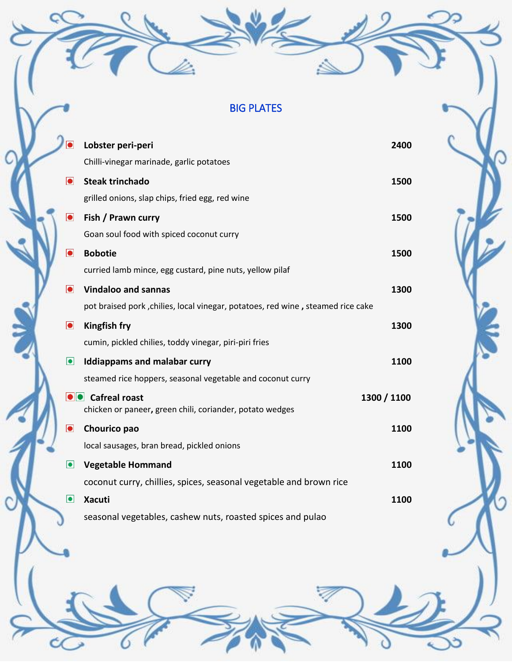## BIG PLATES

*Voyager Trails*  $\overline{\phantom{a}}$ 

| $\bullet$ | Lobster peri-peri                                                                  | 2400        |
|-----------|------------------------------------------------------------------------------------|-------------|
|           | Chilli-vinegar marinade, garlic potatoes                                           |             |
| $\bullet$ | <b>Steak trinchado</b>                                                             | 1500        |
|           | grilled onions, slap chips, fried egg, red wine                                    |             |
| $\bullet$ | Fish / Prawn curry                                                                 | 1500        |
|           | Goan soul food with spiced coconut curry                                           |             |
| $\bullet$ | <b>Bobotie</b>                                                                     | 1500        |
|           | curried lamb mince, egg custard, pine nuts, yellow pilaf                           |             |
| $\bullet$ | <b>Vindaloo and sannas</b>                                                         | 1300        |
|           | pot braised pork, chilies, local vinegar, potatoes, red wine, steamed rice cake    |             |
| $\bullet$ | <b>Kingfish fry</b>                                                                | 1300        |
|           | cumin, pickled chilies, toddy vinegar, piri-piri fries                             |             |
| $\bullet$ | <b>Iddiappams and malabar curry</b>                                                | 1100        |
|           | steamed rice hoppers, seasonal vegetable and coconut curry                         |             |
|           | <b>O</b> Cafreal roast<br>chicken or paneer, green chili, coriander, potato wedges | 1300 / 1100 |
| $\bullet$ | Chourico pao                                                                       | 1100        |
|           | local sausages, bran bread, pickled onions                                         |             |
| $\bullet$ | <b>Vegetable Hommand</b>                                                           | 1100        |
|           | coconut curry, chillies, spices, seasonal vegetable and brown rice                 |             |
| $\bullet$ | <b>Xacuti</b>                                                                      | 1100        |
|           | seasonal vegetables, cashew nuts, roasted spices and pulao                         |             |

**Please let your server know in case of any allergies**

à